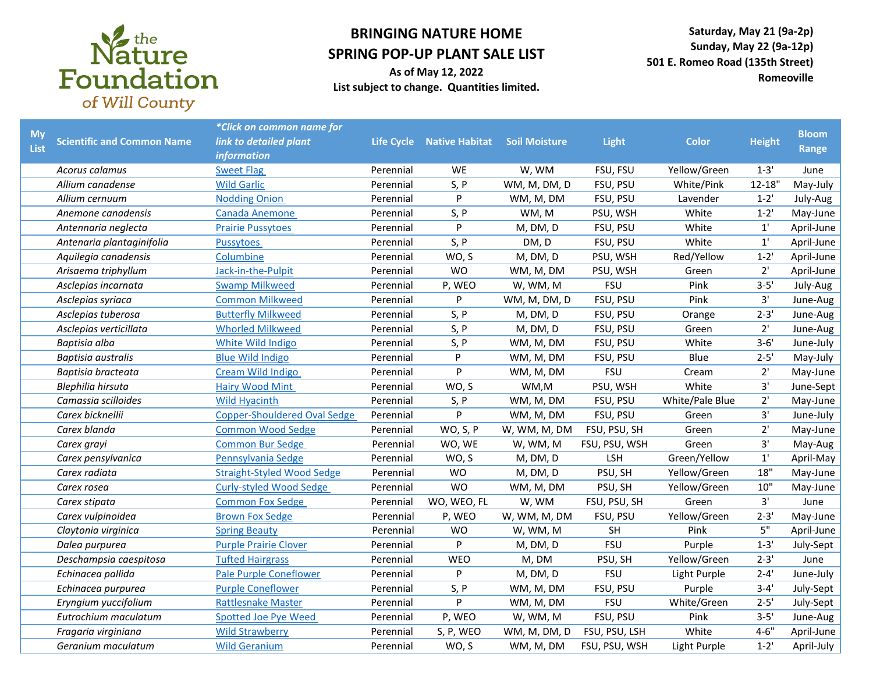

## **BRINGING NATURE HOME SPRING POP-UP PLANT SALE LIST**

**Saturday, May 21 (9a-2p) Sunday, May 22 (9a-12p) 501 E. Romeo Road (135th Street) Romeoville**

**As of May 12, 2022 List subject to change. Quantities limited.** 

| <b>My</b><br>List | <b>Scientific and Common Name</b> | *Click on common name for<br>link to detailed plant<br><i>information</i> |           | Life Cycle Native Habitat | <b>Soil Moisture</b> | Light         | <b>Color</b>    | <b>Height</b> | <b>Bloom</b><br>Range |
|-------------------|-----------------------------------|---------------------------------------------------------------------------|-----------|---------------------------|----------------------|---------------|-----------------|---------------|-----------------------|
|                   | Acorus calamus                    | <b>Sweet Flag</b>                                                         | Perennial | <b>WE</b>                 | W, WM                | FSU, FSU      | Yellow/Green    | $1 - 3'$      | June                  |
|                   | Allium canadense                  | <b>Wild Garlic</b>                                                        | Perennial | S, P                      | WM, M, DM, D         | FSU, PSU      | White/Pink      | $12 - 18"$    | May-July              |
|                   | Allium cernuum                    | <b>Nodding Onion</b>                                                      | Perennial | P                         | WM, M, DM            | FSU, PSU      | Lavender        | $1 - 2'$      | July-Aug              |
|                   | Anemone canadensis                | Canada Anemone                                                            | Perennial | S, P                      | WM, M                | PSU, WSH      | White           | $1 - 2'$      | May-June              |
|                   | Antennaria neglecta               | <b>Prairie Pussytoes</b>                                                  | Perennial | P                         | M, DM, D             | FSU, PSU      | White           | $1^{\prime}$  | April-June            |
|                   | Antenaria plantaginifolia         | <b>Pussytoes</b>                                                          | Perennial | S, P                      | DM, D                | FSU, PSU      | White           | 1'            | April-June            |
|                   | Aquilegia canadensis              | Columbine                                                                 | Perennial | WO, S                     | M, DM, D             | PSU, WSH      | Red/Yellow      | $1 - 2'$      | April-June            |
|                   | Arisaema triphyllum               | Jack-in-the-Pulpit                                                        | Perennial | <b>WO</b>                 | WM, M, DM            | PSU, WSH      | Green           | 2'            | April-June            |
|                   | Asclepias incarnata               | <b>Swamp Milkweed</b>                                                     | Perennial | P, WEO                    | W, WM, M             | <b>FSU</b>    | Pink            | $3 - 5'$      | July-Aug              |
|                   | Asclepias syriaca                 | <b>Common Milkweed</b>                                                    | Perennial | P                         | WM, M, DM, D         | FSU, PSU      | Pink            | 3'            | June-Aug              |
|                   | Asclepias tuberosa                | <b>Butterfly Milkweed</b>                                                 | Perennial | S, P                      | M, DM, D             | FSU, PSU      | Orange          | $2 - 3'$      | June-Aug              |
|                   | Asclepias verticillata            | <b>Whorled Milkweed</b>                                                   | Perennial | S, P                      | M, DM, D             | FSU, PSU      | Green           | 2'            | June-Aug              |
|                   | Baptisia alba                     | White Wild Indigo                                                         | Perennial | S, P                      | WM, M, DM            | FSU, PSU      | White           | $3 - 6'$      | June-July             |
|                   | Baptisia australis                | <b>Blue Wild Indigo</b>                                                   | Perennial | P                         | WM, M, DM            | FSU, PSU      | Blue            | $2 - 5'$      | May-July              |
|                   | Baptisia bracteata                | Cream Wild Indigo                                                         | Perennial | P                         | WM, M, DM            | <b>FSU</b>    | Cream           | 2'            | May-June              |
|                   | Blephilia hirsuta                 | <b>Hairy Wood Mint</b>                                                    | Perennial | WO, S                     | WM,M                 | PSU, WSH      | White           | 3'            | June-Sept             |
|                   | Camassia scilloides               | <b>Wild Hyacinth</b>                                                      | Perennial | S, P                      | WM, M, DM            | FSU, PSU      | White/Pale Blue | 2'            | May-June              |
|                   | Carex bicknellii                  | <b>Copper-Shouldered Oval Sedge</b>                                       | Perennial | P                         | WM, M, DM            | FSU, PSU      | Green           | 3'            | June-July             |
|                   | Carex blanda                      | <b>Common Wood Sedge</b>                                                  | Perennial | WO, S, P                  | W, WM, M, DM         | FSU, PSU, SH  | Green           | 2'            | May-June              |
|                   | Carex grayi                       | <b>Common Bur Sedge</b>                                                   | Perennial | WO, WE                    | W, WM, M             | FSU, PSU, WSH | Green           | 3'            | May-Aug               |
|                   | Carex pensylvanica                | Pennsylvania Sedge                                                        | Perennial | WO, S                     | M, DM, D             | LSH           | Green/Yellow    | $1'$          | April-May             |
|                   | Carex radiata                     | <b>Straight-Styled Wood Sedge</b>                                         | Perennial | <b>WO</b>                 | M, DM, D             | PSU, SH       | Yellow/Green    | 18"           | May-June              |
|                   | Carex rosea                       | <b>Curly-styled Wood Sedge</b>                                            | Perennial | <b>WO</b>                 | WM, M, DM            | PSU, SH       | Yellow/Green    | 10"           | May-June              |
|                   | Carex stipata                     | <b>Common Fox Sedge</b>                                                   | Perennial | WO, WEO, FL               | W, WM                | FSU, PSU, SH  | Green           | 3'            | June                  |
|                   | Carex vulpinoidea                 | <b>Brown Fox Sedge</b>                                                    | Perennial | P, WEO                    | W, WM, M, DM         | FSU, PSU      | Yellow/Green    | $2 - 3'$      | May-June              |
|                   | Claytonia virginica               | <b>Spring Beauty</b>                                                      | Perennial | <b>WO</b>                 | W, WM, M             | SH            | Pink            | 5"            | April-June            |
|                   | Dalea purpurea                    | <b>Purple Prairie Clover</b>                                              | Perennial | P                         | M, DM, D             | <b>FSU</b>    | Purple          | $1 - 3'$      | July-Sept             |
|                   | Deschampsia caespitosa            | <b>Tufted Hairgrass</b>                                                   | Perennial | WEO                       | M, DM                | PSU, SH       | Yellow/Green    | $2 - 3'$      | June                  |
|                   | Echinacea pallida                 | <b>Pale Purple Coneflower</b>                                             | Perennial | P                         | M, DM, D             | <b>FSU</b>    | Light Purple    | $2 - 4'$      | June-July             |
|                   | Echinacea purpurea                | <b>Purple Coneflower</b>                                                  | Perennial | S, P                      | WM, M, DM            | FSU, PSU      | Purple          | $3 - 4'$      | July-Sept             |
|                   | Eryngium yuccifolium              | <b>Rattlesnake Master</b>                                                 | Perennial | Þ                         | WM, M, DM            | <b>FSU</b>    | White/Green     | $2 - 5'$      | July-Sept             |
|                   | Eutrochium maculatum              | <b>Spotted Joe Pye Weed</b>                                               | Perennial | P, WEO                    | W, WM, M             | FSU, PSU      | Pink            | $3 - 5'$      | June-Aug              |
|                   | Fragaria virginiana               | <b>Wild Strawberry</b>                                                    | Perennial | S, P, WEO                 | WM, M, DM, D         | FSU, PSU, LSH | White           | $4 - 6"$      | April-June            |
|                   | Geranium maculatum                | <b>Wild Geranium</b>                                                      | Perennial | WO, S                     | WM, M, DM            | FSU, PSU, WSH | Light Purple    | $1 - 2'$      | April-July            |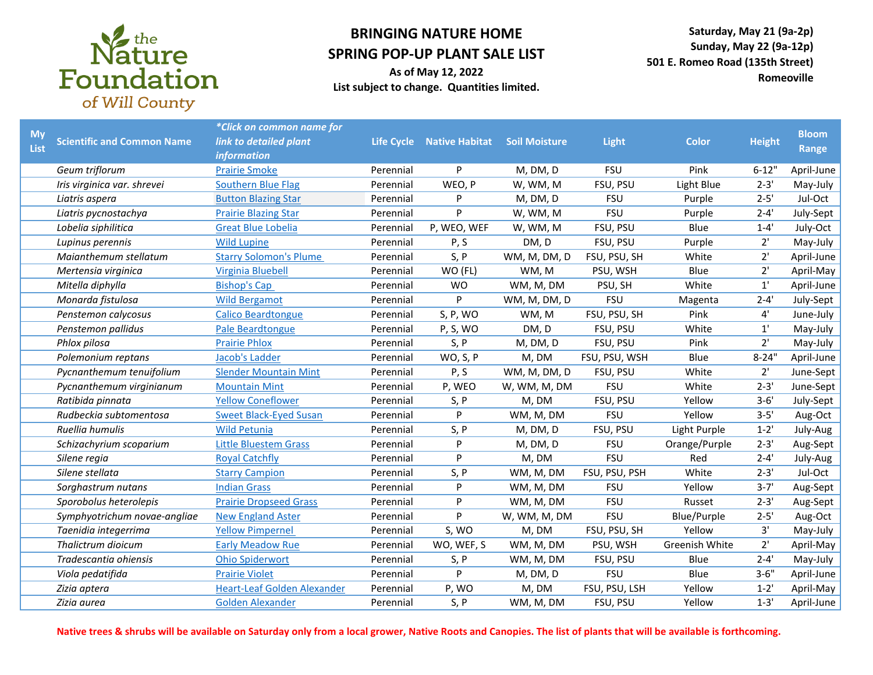

## **BRINGING NATURE HOME SPRING POP-UP PLANT SALE LIST**

**As of May 12, 2022 List subject to change. Quantities limited.** 

**Saturday, May 21 (9a-2p) Sunday, May 22 (9a-12p) 501 E. Romeo Road (135th Street) Romeoville**

| <b>My</b><br>List | <b>Scientific and Common Name</b> | *Click on common name for<br>link to detailed plant<br><b>information</b> |           | Life Cycle Native Habitat | <b>Soil Moisture</b> | <b>Light</b>  | <b>Color</b>   | <b>Height</b> | <b>Bloom</b><br>Range |
|-------------------|-----------------------------------|---------------------------------------------------------------------------|-----------|---------------------------|----------------------|---------------|----------------|---------------|-----------------------|
|                   | Geum triflorum                    | <b>Prairie Smoke</b>                                                      | Perennial | P                         | M, DM, D             | <b>FSU</b>    | Pink           | $6 - 12"$     | April-June            |
|                   | Iris virginica var. shrevei       | Southern Blue Flag                                                        | Perennial | WEO, P                    | W, WM, M             | FSU, PSU      | Light Blue     | $2 - 3'$      | May-July              |
|                   | Liatris aspera                    | <b>Button Blazing Star</b>                                                | Perennial | P                         | M, DM, D             | <b>FSU</b>    | Purple         | $2 - 5'$      | Jul-Oct               |
|                   | Liatris pycnostachya              | <b>Prairie Blazing Star</b>                                               | Perennial | P                         | W, WM, M             | <b>FSU</b>    | Purple         | $2 - 4'$      | July-Sept             |
|                   | Lobelia siphilitica               | <b>Great Blue Lobelia</b>                                                 | Perennial | P, WEO, WEF               | W, WM, M             | FSU, PSU      | Blue           | $1 - 4'$      | July-Oct              |
|                   | Lupinus perennis                  | <b>Wild Lupine</b>                                                        | Perennial | P, S                      | DM, D                | FSU, PSU      | Purple         | 2'            | May-July              |
|                   | Maianthemum stellatum             | <b>Starry Solomon's Plume</b>                                             | Perennial | S, P                      | WM, M, DM, D         | FSU, PSU, SH  | White          | 2'            | April-June            |
|                   | Mertensia virginica               | <b>Virginia Bluebell</b>                                                  | Perennial | WO (FL)                   | WM, M                | PSU, WSH      | Blue           | 2'            | April-May             |
|                   | Mitella diphylla                  | <b>Bishop's Cap</b>                                                       | Perennial | <b>WO</b>                 | WM, M, DM            | PSU, SH       | White          | $1^{\prime}$  | April-June            |
|                   | Monarda fistulosa                 | <b>Wild Bergamot</b>                                                      | Perennial | P                         | WM, M, DM, D         | <b>FSU</b>    | Magenta        | $2 - 4'$      | July-Sept             |
|                   | Penstemon calycosus               | <b>Calico Beardtongue</b>                                                 | Perennial | S, P, WO                  | WM, M                | FSU, PSU, SH  | Pink           | 4'            | June-July             |
|                   | Penstemon pallidus                | Pale Beardtongue                                                          | Perennial | P, S, WO                  | DM, D                | FSU, PSU      | White          | $1^{\prime}$  | May-July              |
|                   | Phlox pilosa                      | <b>Prairie Phlox</b>                                                      | Perennial | S, P                      | M, DM, D             | FSU, PSU      | Pink           | $2^{\prime}$  | May-July              |
|                   | Polemonium reptans                | Jacob's Ladder                                                            | Perennial | WO, S, P                  | M, DM                | FSU, PSU, WSH | Blue           | $8 - 24"$     | April-June            |
|                   | Pycnanthemum tenuifolium          | <b>Slender Mountain Mint</b>                                              | Perennial | P, S                      | WM, M, DM, D         | FSU, PSU      | White          | $2^{\prime}$  | June-Sept             |
|                   | Pycnanthemum virginianum          | <b>Mountain Mint</b>                                                      | Perennial | P, WEO                    | W, WM, M, DM         | <b>FSU</b>    | White          | $2 - 3'$      | June-Sept             |
|                   | Ratibida pinnata                  | <b>Yellow Coneflower</b>                                                  | Perennial | S, P                      | M, DM                | FSU, PSU      | Yellow         | $3 - 6'$      | July-Sept             |
|                   | Rudbeckia subtomentosa            | <b>Sweet Black-Eyed Susan</b>                                             | Perennial | P                         | WM, M, DM            | <b>FSU</b>    | Yellow         | $3 - 5'$      | Aug-Oct               |
|                   | Ruellia humulis                   | <b>Wild Petunia</b>                                                       | Perennial | S, P                      | M, DM, D             | FSU, PSU      | Light Purple   | $1 - 2'$      | July-Aug              |
|                   | Schizachyrium scoparium           | <b>Little Bluestem Grass</b>                                              | Perennial | P                         | M, DM, D             | <b>FSU</b>    | Orange/Purple  | $2 - 3'$      | Aug-Sept              |
|                   | Silene regia                      | <b>Royal Catchfly</b>                                                     | Perennial | P                         | M, DM                | <b>FSU</b>    | Red            | $2 - 4'$      | July-Aug              |
|                   | Silene stellata                   | <b>Starry Campion</b>                                                     | Perennial | S, P                      | WM, M, DM            | FSU, PSU, PSH | White          | $2 - 3'$      | Jul-Oct               |
|                   | Sorghastrum nutans                | <b>Indian Grass</b>                                                       | Perennial | P                         | WM, M, DM            | FSU           | Yellow         | $3 - 7'$      | Aug-Sept              |
|                   | Sporobolus heterolepis            | <b>Prairie Dropseed Grass</b>                                             | Perennial | P                         | WM, M, DM            | <b>FSU</b>    | Russet         | $2 - 3'$      | Aug-Sept              |
|                   | Symphyotrichum novae-angliae      | <b>New England Aster</b>                                                  | Perennial | P                         | W, WM, M, DM         | <b>FSU</b>    | Blue/Purple    | $2 - 5'$      | Aug-Oct               |
|                   | Taenidia integerrima              | <b>Yellow Pimpernel</b>                                                   | Perennial | S, WO                     | M, DM                | FSU, PSU, SH  | Yellow         | 3'            | May-July              |
|                   | Thalictrum dioicum                | <b>Early Meadow Rue</b>                                                   | Perennial | WO, WEF, S                | WM, M, DM            | PSU, WSH      | Greenish White | 2'            | April-May             |
|                   | Tradescantia ohiensis             | <b>Ohio Spiderwort</b>                                                    | Perennial | S, P                      | WM, M, DM            | FSU, PSU      | Blue           | $2 - 4'$      | May-July              |
|                   | Viola pedatifida                  | <b>Prairie Violet</b>                                                     | Perennial | P                         | M, DM, D             | <b>FSU</b>    | Blue           | $3 - 6"$      | April-June            |
|                   | Zizia aptera                      | <b>Heart-Leaf Golden Alexander</b>                                        | Perennial | P, WO                     | M, DM                | FSU, PSU, LSH | Yellow         | $1 - 2'$      | April-May             |
|                   | Zizia aurea                       | <b>Golden Alexander</b>                                                   | Perennial | S, P                      | WM, M, DM            | FSU, PSU      | Yellow         | $1 - 3'$      | April-June            |

**Native trees & shrubs will be available on Saturday only from a local grower, Native Roots and Canopies. The list of plants that will be available is forthcoming.**